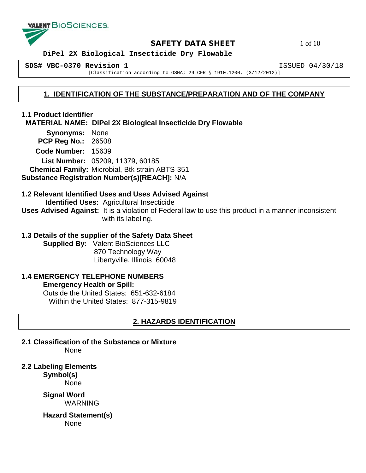

### **SAFETY DATA SHEET** 1 of 10

 **DiPel 2X Biological Insecticide Dry Flowable**

**SDS# VBC-0370 Revision 1** ISSUED 04/30/18

[Classification according to OSHA; 29 CFR § 1910.1200, (3/12/2012)]

## **1. IDENTIFICATION OF THE SUBSTANCE/PREPARATION AND OF THE COMPANY**

## **1.1 Product Identifier MATERIAL NAME: DiPel 2X Biological Insecticide Dry Flowable Synonyms:** None

 **PCP Reg No.:** 26508 **Code Number:** 15639 **List Number:** 05209, 11379, 60185  **Chemical Family:** Microbial, Btk strain ABTS-351 **Substance Registration Number(s)[REACH]:** N/A

## **1.2 Relevant Identified Uses and Uses Advised Against**

 **Identified Uses:** Agricultural Insecticide

**Uses Advised Against:** It is a violation of Federal law to use this product in a manner inconsistent with its labeling.

## **1.3 Details of the supplier of the Safety Data Sheet**

**Supplied By:** Valent BioSciences LLC 870 Technology Way Libertyville, Illinois 60048

#### **1.4 EMERGENCY TELEPHONE NUMBERS Emergency Health or Spill:**

Outside the United States: 651-632-6184 Within the United States: 877-315-9819

## **2. HAZARDS IDENTIFICATION**

**2.1 Classification of the Substance or Mixture** None

**2.2 Labeling Elements**

**Symbol(s)**

None

**Signal Word** WARNING

**Hazard Statement(s)** None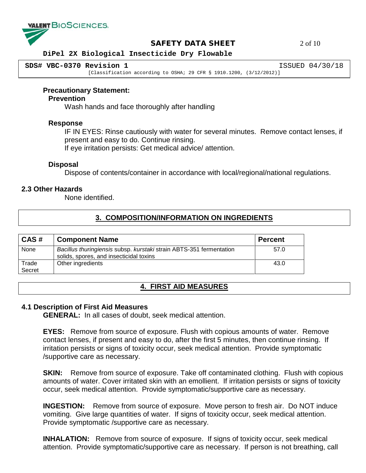

#### **SAFETY DATA SHEET** 2 of 10

#### **DiPel 2X Biological Insecticide Dry Flowable**

**SDS# VBC-0370 Revision 1** ISSUED 04/30/18

[Classification according to OSHA; 29 CFR § 1910.1200, (3/12/2012)]

#### **Precautionary Statement:**

#### **Prevention**

Wash hands and face thoroughly after handling

#### **Response**

IF IN EYES: Rinse cautiously with water for several minutes. Remove contact lenses, if present and easy to do. Continue rinsing.

If eye irritation persists: Get medical advice/ attention.

#### **Disposal**

Dispose of contents/container in accordance with local/regional/national regulations.

#### **2.3 Other Hazards**

None identified.

## **3. COMPOSITION/INFORMATION ON INGREDIENTS**

| CAS#            | <b>Component Name</b>                                                                                          | <b>Percent</b> |
|-----------------|----------------------------------------------------------------------------------------------------------------|----------------|
| None            | Bacillus thuringiensis subsp. kurstaki strain ABTS-351 fermentation<br>solids, spores, and insecticidal toxins | 57.0           |
| Trade<br>Secret | Other ingredients                                                                                              | 43.0           |

## **4. FIRST AID MEASURES**

#### **4.1 Description of First Aid Measures**

**GENERAL:** In all cases of doubt, seek medical attention.

**EYES:** Remove from source of exposure. Flush with copious amounts of water. Remove contact lenses, if present and easy to do, after the first 5 minutes, then continue rinsing. If irritation persists or signs of toxicity occur, seek medical attention. Provide symptomatic /supportive care as necessary.

**SKIN:** Remove from source of exposure. Take off contaminated clothing. Flush with copious amounts of water. Cover irritated skin with an emollient. If irritation persists or signs of toxicity occur, seek medical attention. Provide symptomatic/supportive care as necessary.

**INGESTION:** Remove from source of exposure. Move person to fresh air. Do NOT induce vomiting. Give large quantities of water. If signs of toxicity occur, seek medical attention. Provide symptomatic /supportive care as necessary.

**INHALATION:** Remove from source of exposure. If signs of toxicity occur, seek medical attention. Provide symptomatic/supportive care as necessary. If person is not breathing, call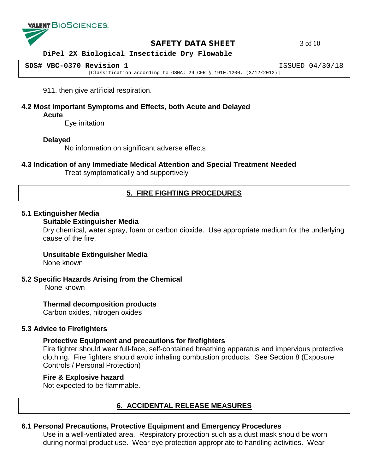

#### **SAFETY DATA SHEET** 3 of 10

#### **DiPel 2X Biological Insecticide Dry Flowable**

**SDS# VBC-0370 Revision 1** ISSUED 04/30/18 [Classification according to OSHA; 29 CFR § 1910.1200, (3/12/2012)]

911, then give artificial respiration.

**4.2 Most important Symptoms and Effects, both Acute and Delayed Acute**

Eye irritation

#### **Delayed**

No information on significant adverse effects

#### **4.3 Indication of any Immediate Medical Attention and Special Treatment Needed**

Treat symptomatically and supportively

## **5. FIRE FIGHTING PROCEDURES**

#### **5.1 Extinguisher Media**

#### **Suitable Extinguisher Media**

Dry chemical, water spray, foam or carbon dioxide. Use appropriate medium for the underlying cause of the fire.

#### **Unsuitable Extinguisher Media**

None known

#### **5.2 Specific Hazards Arising from the Chemical**

None known

#### **Thermal decomposition products**

Carbon oxides, nitrogen oxides

#### **5.3 Advice to Firefighters**

#### **Protective Equipment and precautions for firefighters**

Fire fighter should wear full-face, self-contained breathing apparatus and impervious protective clothing. Fire fighters should avoid inhaling combustion products. See Section 8 (Exposure Controls / Personal Protection)

#### **Fire & Explosive hazard**

Not expected to be flammable.

## **6. ACCIDENTAL RELEASE MEASURES**

#### **6.1 Personal Precautions, Protective Equipment and Emergency Procedures**

Use in a well-ventilated area. Respiratory protection such as a dust mask should be worn during normal product use. Wear eye protection appropriate to handling activities. Wear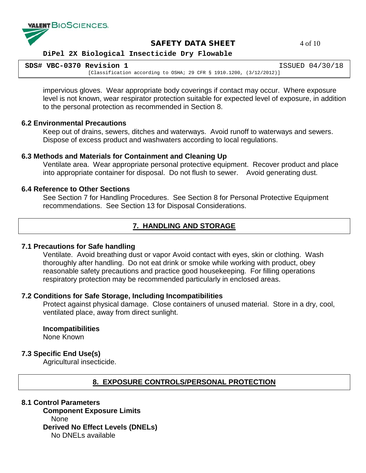

### **SAFETY DATA SHEET** 4 of 10

#### **DiPel 2X Biological Insecticide Dry Flowable**

| SDS# VBC-0370 Revision 1 |                                                                        | ISSUED 04/30/18 |
|--------------------------|------------------------------------------------------------------------|-----------------|
|                          | [Classification according to OSHA; 29 CFR § 1910.1200, $(3/12/2012)$ ] |                 |

impervious gloves. Wear appropriate body coverings if contact may occur. Where exposure level is not known, wear respirator protection suitable for expected level of exposure, in addition to the personal protection as recommended in Section 8.

#### **6.2 Environmental Precautions**

Keep out of drains, sewers, ditches and waterways. Avoid runoff to waterways and sewers. Dispose of excess product and washwaters according to local regulations.

#### **6.3 Methods and Materials for Containment and Cleaning Up**

Ventilate area. Wear appropriate personal protective equipment. Recover product and place into appropriate container for disposal. Do not flush to sewer. Avoid generating dust.

#### **6.4 Reference to Other Sections**

See Section 7 for Handling Procedures. See Section 8 for Personal Protective Equipment recommendations. See Section 13 for Disposal Considerations.

## **7. HANDLING AND STORAGE**

#### **7.1 Precautions for Safe handling**

Ventilate. Avoid breathing dust or vapor Avoid contact with eyes, skin or clothing. Wash thoroughly after handling. Do not eat drink or smoke while working with product, obey reasonable safety precautions and practice good housekeeping. For filling operations respiratory protection may be recommended particularly in enclosed areas.

#### **7.2 Conditions for Safe Storage, Including Incompatibilities**

Protect against physical damage. Close containers of unused material. Store in a dry, cool, ventilated place, away from direct sunlight.

#### **Incompatibilities**

None Known

#### **7.3 Specific End Use(s)**

Agricultural insecticide.

## **8. EXPOSURE CONTROLS/PERSONAL PROTECTION**

#### **8.1 Control Parameters**

**Component Exposure Limits**  None **Derived No Effect Levels (DNELs)** No DNELs available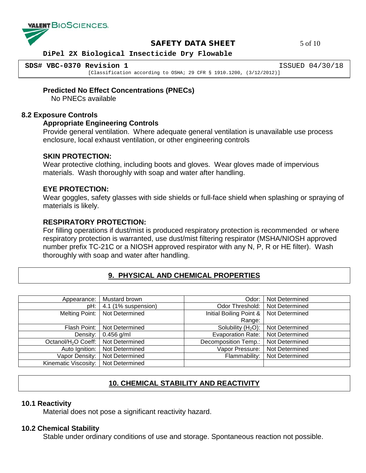

**SAFETY DATA SHEET** 5 of 10

 **DiPel 2X Biological Insecticide Dry Flowable**

**SDS# VBC-0370 Revision 1** ISSUED 04/30/18

[Classification according to OSHA; 29 CFR § 1910.1200, (3/12/2012)]

**Predicted No Effect Concentrations (PNECs)**

No PNECs available

#### **8.2 Exposure Controls**

#### **Appropriate Engineering Controls**

Provide general ventilation. Where adequate general ventilation is unavailable use process enclosure, local exhaust ventilation, or other engineering controls

#### **SKIN PROTECTION:**

Wear protective clothing, including boots and gloves. Wear gloves made of impervious materials. Wash thoroughly with soap and water after handling.

#### **EYE PROTECTION:**

Wear goggles, safety glasses with side shields or full-face shield when splashing or spraying of materials is likely.

#### **RESPIRATORY PROTECTION:**

For filling operations if dust/mist is produced respiratory protection is recommended or where respiratory protection is warranted, use dust/mist filtering respirator (MSHA/NIOSH approved number prefix TC-21C or a NIOSH approved respirator with any N, P, R or HE filter). Wash thoroughly with soap and water after handling.

## **9. PHYSICAL AND CHEMICAL PROPERTIES**

| Appearance:                     | Mustard brown       | Odor:                    | Not Determined |
|---------------------------------|---------------------|--------------------------|----------------|
| pH:                             | 4.1 (1% suspension) | Odor Threshold:          | Not Determined |
| Melting Point:                  | Not Determined      | Initial Boiling Point &  | Not Determined |
|                                 |                     | Range:                   |                |
| Flash Point:                    | Not Determined      | Solubility $(H2O)$ :     | Not Determined |
| Density:                        | $0.456$ g/ml        | <b>Evaporation Rate:</b> | Not Determined |
| Octanol/H <sub>2</sub> O Coeff: | Not Determined      | Decomposition Temp.:     | Not Determined |
| Auto Ignition:                  | Not Determined      | Vapor Pressure:          | Not Determined |
| Vapor Density:                  | Not Determined      | Flammability:            | Not Determined |
| Kinematic Viscosity:            | Not Determined      |                          |                |

## **10. CHEMICAL STABILITY AND REACTIVITY**

#### **10.1 Reactivity**

Material does not pose a significant reactivity hazard.

#### **10.2 Chemical Stability**

Stable under ordinary conditions of use and storage. Spontaneous reaction not possible.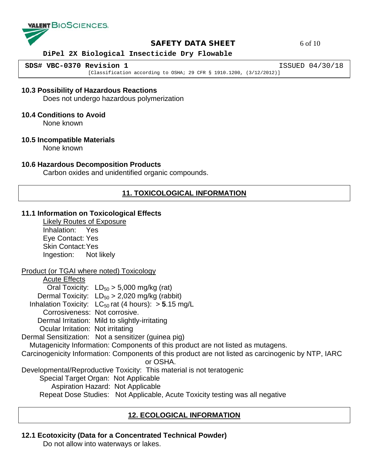

### **SAFETY DATA SHEET** 6 of 10

#### **DiPel 2X Biological Insecticide Dry Flowable**

**SDS# VBC-0370 Revision 1** ISSUED 04/30/18

[Classification according to OSHA; 29 CFR § 1910.1200, (3/12/2012)]

#### **10.3 Possibility of Hazardous Reactions**

Does not undergo hazardous polymerization

#### **10.4 Conditions to Avoid**

None known

#### **10.5 Incompatible Materials**

None known

#### **10.6 Hazardous Decomposition Products**

Carbon oxides and unidentified organic compounds.

## **11. TOXICOLOGICAL INFORMATION**

#### **11.1 Information on Toxicological Effects**

Likely Routes of Exposure Inhalation: Yes Eye Contact: Yes Skin Contact:Yes Ingestion: Not likely

#### Product (or TGAI where noted) Toxicology

Acute Effects Oral Toxicity:  $LD_{50} > 5,000$  mg/kg (rat) Dermal Toxicity:  $LD_{50} > 2,020$  mg/kg (rabbit) Inhalation Toxicity:  $LC_{50}$  rat (4 hours):  $> 5.15$  mg/L Corrosiveness: Not corrosive. Dermal Irritation: Mild to slightly-irritating Ocular Irritation: Not irritating Dermal Sensitization: Not a sensitizer (guinea pig) Mutagenicity Information: Components of this product are not listed as mutagens. Carcinogenicity Information: Components of this product are not listed as carcinogenic by NTP, IARC or OSHA. Developmental/Reproductive Toxicity: This material is not teratogenic Special Target Organ: Not Applicable Aspiration Hazard: Not Applicable Repeat Dose Studies: Not Applicable, Acute Toxicity testing was all negative

## **12. ECOLOGICAL INFORMATION**

#### **12.1 Ecotoxicity (Data for a Concentrated Technical Powder)**

Do not allow into waterways or lakes.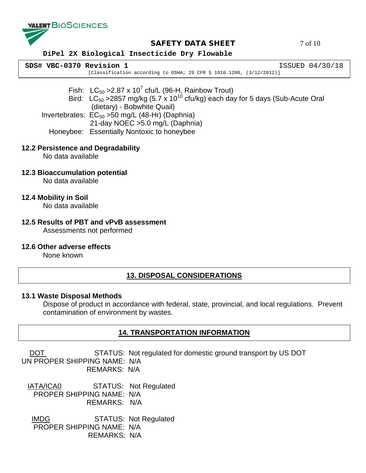

## **SAFETY DATA SHEET** 7 of 10

#### **DiPel 2X Biological Insecticide Dry Flowable**

| SDS# VBC-0370 Revision 1 |                                                                        | ISSUED 04/30/18 |
|--------------------------|------------------------------------------------------------------------|-----------------|
|                          | [Classification according to OSHA; 29 CFR § 1910.1200, $(3/12/2012)$ ] |                 |

Fish: LC<sub>50</sub> > 2.87 x 10<sup>7</sup> cfu/L (96-H<sub>1</sub> Rainbow Trout) Bird:  $LC_{50}$  >2857 mg/kg (5.7 x 10<sup>10</sup> cfu/kg) each day for 5 days (Sub-Acute Oral (dietary) - Bobwhite Quail) Invertebrates:  $EC_{50} > 50$  mg/L (48-Hr) (Daphnia) 21-day NOEC >5.0 mg/L (Daphnia)

Honeybee: Essentially Nontoxic to honeybee

#### **12.2 Persistence and Degradability**

No data available

**12.3 Bioaccumulation potential**

No data available

**12.4 Mobility in Soil**

No data available

# **12.5 Results of PBT and vPvB assessment**

Assessments not performed

#### **12.6 Other adverse effects**

None known

## **13. DISPOSAL CONSIDERATIONS**

#### **13.1 Waste Disposal Methods**

Dispose of product in accordance with federal, state, provincial, and local regulations. Prevent contamination of environment by wastes.

## **14. TRANSPORTATION INFORMATION**

DOT STATUS: Not regulated for domestic ground transport by US DOT UN PROPER SHIPPING NAME: N/A REMARKS: N/A

 IATA/ICA0 STATUS: Not Regulated PROPER SHIPPING NAME: N/A REMARKS: N/A

 IMDG STATUS: Not Regulated PROPER SHIPPING NAME: N/A REMARKS: N/A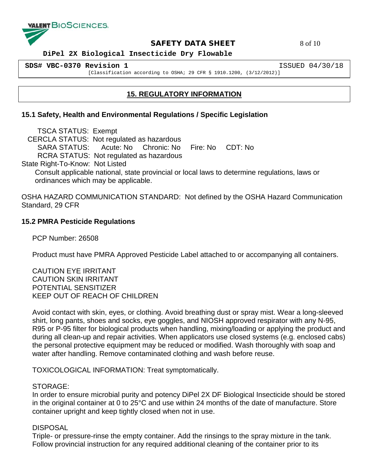

**SAFETY DATA SHEET** 8 of 10

 **DiPel 2X Biological Insecticide Dry Flowable**

**SDS# VBC-0370 Revision 1** ISSUED 04/30/18

[Classification according to OSHA; 29 CFR § 1910.1200, (3/12/2012)]

## **15. REGULATORY INFORMATION**

## **15.1 Safety, Health and Environmental Regulations / Specific Legislation**

 TSCA STATUS: Exempt CERCLA STATUS: Not regulated as hazardous SARA STATUS: Acute: No Chronic: No Fire: No CDT: No RCRA STATUS: Not regulated as hazardous State Right-To-Know: Not Listed Consult applicable national, state provincial or local laws to determine regulations, laws or ordinances which may be applicable.

OSHA HAZARD COMMUNICATION STANDARD: Not defined by the OSHA Hazard Communication Standard, 29 CFR

### **15.2 PMRA Pesticide Regulations**

PCP Number: 26508

Product must have PMRA Approved Pesticide Label attached to or accompanying all containers.

CAUTION EYE IRRITANT CAUTION SKIN IRRITANT POTENTIAL SENSITIZER KEEP OUT OF REACH OF CHILDREN

Avoid contact with skin, eyes, or clothing. Avoid breathing dust or spray mist. Wear a long-sleeved shirt, long pants, shoes and socks, eye goggles, and NIOSH approved respirator with any N-95, R95 or P-95 filter for biological products when handling, mixing/loading or applying the product and during all clean-up and repair activities. When applicators use closed systems (e.g. enclosed cabs) the personal protective equipment may be reduced or modified. Wash thoroughly with soap and water after handling. Remove contaminated clothing and wash before reuse.

TOXICOLOGICAL INFORMATION: Treat symptomatically.

#### STORAGE:

In order to ensure microbial purity and potency DiPel 2X DF Biological Insecticide should be stored in the original container at 0 to 25°C and use within 24 months of the date of manufacture. Store container upright and keep tightly closed when not in use.

## DISPOSAL

Triple- or pressure-rinse the empty container. Add the rinsings to the spray mixture in the tank. Follow provincial instruction for any required additional cleaning of the container prior to its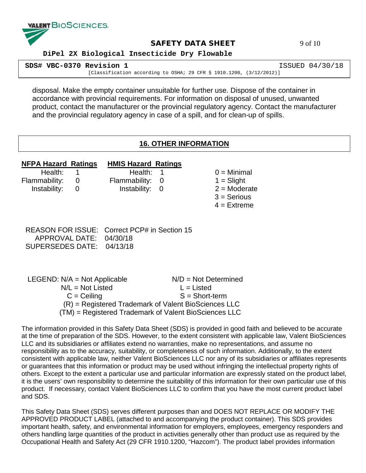

#### **SAFETY DATA SHEET** 9 of 10

 **DiPel 2X Biological Insecticide Dry Flowable**

| SDS# VBC-0370 Revision 1 |                                                                        | ISSUED 04/30/18 |
|--------------------------|------------------------------------------------------------------------|-----------------|
|                          | [Classification according to OSHA; 29 CFR § 1910.1200, $(3/12/2012)$ ] |                 |

disposal. Make the empty container unsuitable for further use. Dispose of the container in accordance with provincial requirements. For information on disposal of unused, unwanted product, contact the manufacturer or the provincial regulatory agency. Contact the manufacturer and the provincial regulatory agency in case of a spill, and for clean-up of spills.

### **16. OTHER INFORMATION**

## **NFPA Hazard Ratings HMIS Hazard Ratings**

Flammability: 0 Flammability: 0 1 = Slight

 Health: 1 Health: 1 0 = Minimal Instability:  $0$  Instability:  $0$  2 = Moderate

- 
- 
- $3 =$  Serious
- $4$  = Extreme

 REASON FOR ISSUE: Correct PCP# in Section 15 APPROVAL DATE: 04/30/18 SUPERSEDES DATE: 04/13/18

| LEGEND: $N/A = Not Applicable$ | $N/D = Not Determined$                                  |
|--------------------------------|---------------------------------------------------------|
| $N/L = Not$ Listed             | $L =$ Listed                                            |
| $C = Ceiling$                  | $S = Short-term$                                        |
|                                | $(R)$ = Registered Trademark of Valent BioSciences LLC  |
|                                | $(TM)$ = Registered Trademark of Valent BioSciences LLC |

The information provided in this Safety Data Sheet (SDS) is provided in good faith and believed to be accurate at the time of preparation of the SDS. However, to the extent consistent with applicable law, Valent BioSciences LLC and its subsidiaries or affiliates extend no warranties, make no representations, and assume no responsibility as to the accuracy, suitability, or completeness of such information. Additionally, to the extent consistent with applicable law, neither Valent BioSciences LLC nor any of its subsidiaries or affiliates represents or guarantees that this information or product may be used without infringing the intellectual property rights of others. Except to the extent a particular use and particular information are expressly stated on the product label, it is the users' own responsibility to determine the suitability of this information for their own particular use of this product. If necessary, contact Valent BioSciences LLC to confirm that you have the most current product label and SDS.

This Safety Data Sheet (SDS) serves different purposes than and DOES NOT REPLACE OR MODIFY THE APPROVED PRODUCT LABEL (attached to and accompanying the product container). This SDS provides important health, safety, and environmental information for employers, employees, emergency responders and others handling large quantities of the product in activities generally other than product use as required by the Occupational Health and Safety Act (29 CFR 1910.1200, "Hazcom"). The product label provides information